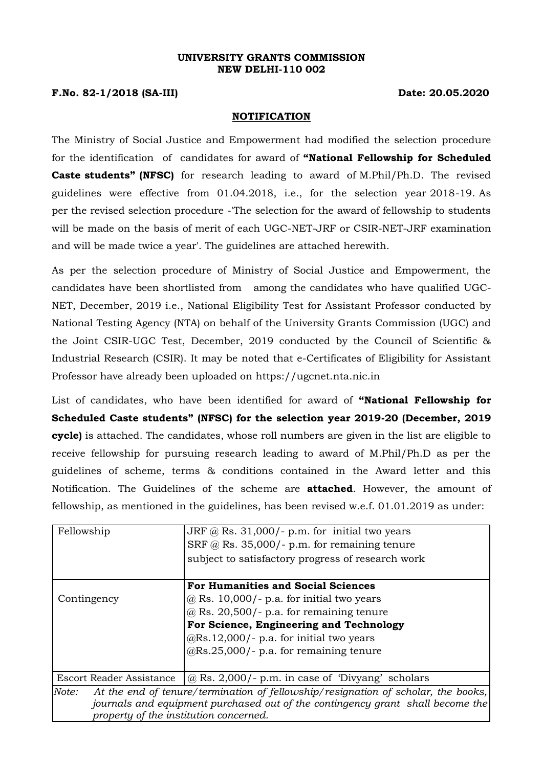#### **UNIVERSITY GRANTS COMMISSION NEW DELHI-110 002**

## **F.No. 82-1/2018 (SA-III) Date: 20.05.2020**

### **NOTIFICATION**

The Ministry of Social Justice and Empowerment had modified the selection procedure for the identification of candidates for award of **"National Fellowship for Scheduled Caste students" (NFSC)** for research leading to award of M.Phil/Ph.D. The revised guidelines were effective from 01.04.2018, i.e., for the selection year 2018-19. As per the revised selection procedure -'The selection for the award of fellowship to students will be made on the basis of merit of each UGC-NET-JRF or CSIR-NET-JRF examination and will be made twice a year'. The guidelines are attached herewith.

As per the selection procedure of Ministry of Social Justice and Empowerment, the candidates have been shortlisted from among the candidates who have qualified UGC-NET, December, 2019 i.e., National Eligibility Test for Assistant Professor conducted by National Testing Agency (NTA) on behalf of the University Grants Commission (UGC) and the Joint CSIR-UGC Test, December, 2019 conducted by the Council of Scientific & Industrial Research (CSIR). It may be noted that e-Certificates of Eligibility for Assistant Professor have already been uploaded on https://ugcnet.nta.nic.in

List of candidates, who have been identified for award of **"National Fellowship for Scheduled Caste students" (NFSC) for the selection year 2019-20 (December, 2019 cycle)** is attached. The candidates, whose roll numbers are given in the list are eligible to receive fellowship for pursuing research leading to award of M.Phil/Ph.D as per the guidelines of scheme, terms & conditions contained in the Award letter and this Notification. The Guidelines of the scheme are **attached**. However, the amount of fellowship, as mentioned in the guidelines, has been revised w.e.f. 01.01.2019 as under:

| Fellowship                                                                                 | JRF $@$ Rs. 31,000/- p.m. for initial two years<br>SRF $@$ Rs. 35,000/- p.m. for remaining tenure<br>subject to satisfactory progress of research work |  |
|--------------------------------------------------------------------------------------------|--------------------------------------------------------------------------------------------------------------------------------------------------------|--|
|                                                                                            | <b>For Humanities and Social Sciences</b>                                                                                                              |  |
| Contingency                                                                                | $@$ Rs. 10,000/- p.a. for initial two years                                                                                                            |  |
|                                                                                            | $@$ Rs. 20,500/- p.a. for remaining tenure                                                                                                             |  |
|                                                                                            | For Science, Engineering and Technology                                                                                                                |  |
|                                                                                            | $@Rs.12,000$ /- p.a. for initial two years                                                                                                             |  |
|                                                                                            | $@Rs.25,000/$ - p.a. for remaining tenure                                                                                                              |  |
|                                                                                            |                                                                                                                                                        |  |
|                                                                                            | Escort Reader Assistance $\sqrt{(a)}$ Rs. 2,000/- p.m. in case of 'Divyang' scholars                                                                   |  |
| At the end of tenure/termination of fellowship/resignation of scholar, the books,<br>Note: |                                                                                                                                                        |  |
| journals and equipment purchased out of the contingency grant shall become the             |                                                                                                                                                        |  |
| property of the institution concerned.                                                     |                                                                                                                                                        |  |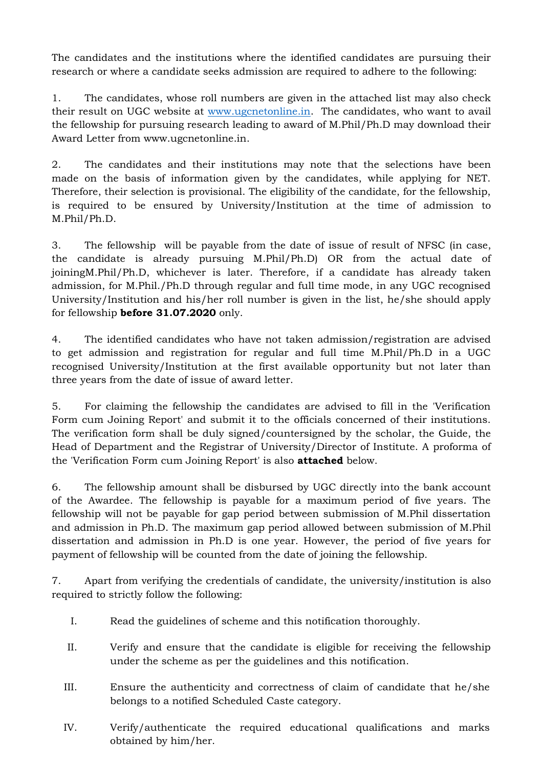The candidates and the institutions where the identified candidates are pursuing their research or where a candidate seeks admission are required to adhere to the following:

1. The candidates, whose roll numbers are given in the attached list may also check their result on UGC website at [www.ugcnetonline.in.](http://www.ugcnetonline.in/) The candidates, who want to avail the fellowship for pursuing research leading to award of M.Phil/Ph.D may download their Award Letter from [www.ugcnetonline.in.](http://www.ugcnetonline.in/)

2. The candidates and their institutions may note that the selections have been made on the basis of information given by the candidates, while applying for NET. Therefore, their selection is provisional. The eligibility of the candidate, for the fellowship, is required to be ensured by University/Institution at the time of admission to M.Phil/Ph.D.

3. The fellowship will be payable from the date of issue of result of NFSC (in case, the candidate is already pursuing M.Phil/Ph.D) OR from the actual date of joiningM.Phil/Ph.D, whichever is later. Therefore, if a candidate has already taken admission, for M.Phil./Ph.D through regular and full time mode, in any UGC recognised University/Institution and his/her roll number is given in the list, he/she should apply for fellowship **before 31.07.2020** only.

4. The identified candidates who have not taken admission/registration are advised to get admission and registration for regular and full time M.Phil/Ph.D in a UGC recognised University/Institution at the first available opportunity but not later than three years from the date of issue of award letter.

5. For claiming the fellowship the candidates are advised to fill in the 'Verification Form cum Joining Report' and submit it to the officials concerned of their institutions. The verification form shall be duly signed/countersigned by the scholar, the Guide, the Head of Department and the Registrar of University/Director of Institute. A proforma of the 'Verification Form cum Joining Report' is also **attached** below.

6. The fellowship amount shall be disbursed by UGC directly into the bank account of the Awardee. The fellowship is payable for a maximum period of five years. The fellowship will not be payable for gap period between submission of M.Phil dissertation and admission in Ph.D. The maximum gap period allowed between submission of M.Phil dissertation and admission in Ph.D is one year. However, the period of five years for payment of fellowship will be counted from the date of joining the fellowship.

7. Apart from verifying the credentials of candidate, the university/institution is also required to strictly follow the following:

- I. Read the guidelines of scheme and this notification thoroughly.
- II. Verify and ensure that the candidate is eligible for receiving the fellowship under the scheme as per the guidelines and this notification.
- III. Ensure the authenticity and correctness of claim of candidate that he/she belongs to a notified Scheduled Caste category.
- IV. Verify/authenticate the required educational qualifications and marks obtained by him/her.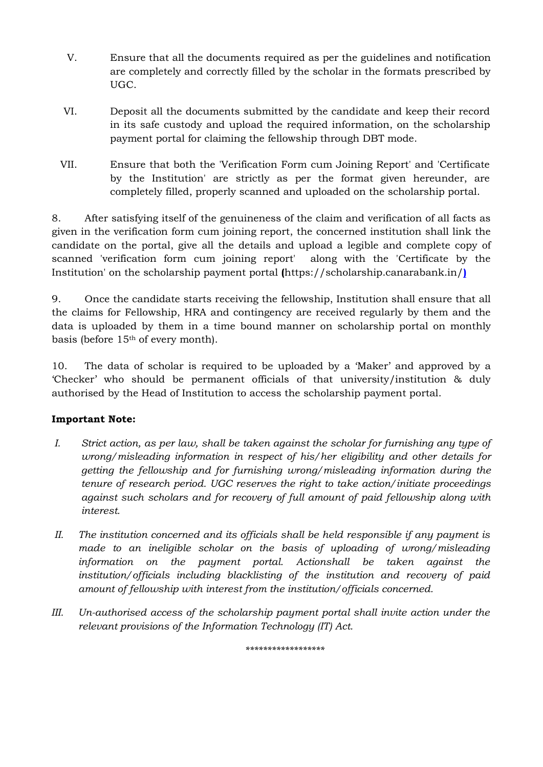- V. Ensure that all the documents required as per the guidelines and notification are completely and correctly filled by the scholar in the formats prescribed by UGC.
- VI. Deposit all the documents submitted by the candidate and keep their record in its safe custody and upload the required information, on the scholarship payment portal for claiming the fellowship through DBT mode.
- VII. Ensure that both the 'Verification Form cum Joining Report' and 'Certificate by the Institution' are strictly as per the format given hereunder, are completely filled, properly scanned and uploaded on the scholarship portal.

8. After satisfying itself of the genuineness of the claim and verification of all facts as given in the verification form cum joining report, the concerned institution shall link the candidate on the portal, give all the details and upload a legible and complete copy of scanned 'verification form cum joining report' along with the 'Certificate by the Institution' on the scholarship payment portal **(**<https://scholarship.canarabank.in/>**)**

9. Once the candidate starts receiving the fellowship, Institution shall ensure that all the claims for Fellowship, HRA and contingency are received regularly by them and the data is uploaded by them in a time bound manner on scholarship portal on monthly basis (before 15th of every month).

10. The data of scholar is required to be uploaded by a 'Maker' and approved by a 'Checker' who should be permanent officials of that university/institution & duly authorised by the Head of Institution to access the scholarship payment portal.

# **Important Note:**

- *I. Strict action, as per law, shall be taken against the scholar for furnishing any type of wrong/misleading information in respect of his/her eligibility and other details for getting the fellowship and for furnishing wrong/misleading information during the tenure of research period. UGC reserves the right to take action/initiate proceedings against such scholars and for recovery of full amount of paid fellowship along with interest.*
- *II. The institution concerned and its officials shall be held responsible if any payment is made to an ineligible scholar on the basis of uploading of wrong/misleading information on the payment portal. Actionshall be taken against the institution/officials including blacklisting of the institution and recovery of paid amount of fellowship with interest from the institution/officials concerned.*
- *III. Un-authorised access of the scholarship payment portal shall invite action under the relevant provisions of the Information Technology (IT) Act.*

*\*\*\*\*\*\*\*\*\*\*\*\*\*\*\*\*\*\**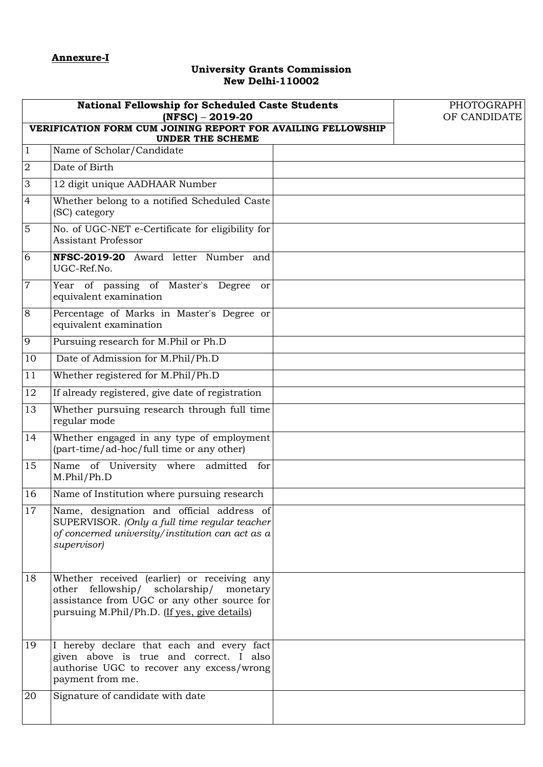### **University Grants Commission New Delhi-110002**

| <b>National Fellowship for Scheduled Caste Students</b><br>$(NFSC) - 2019-20$<br>VERIFICATION FORM CUM JOINING REPORT FOR AVAILING FELLOWSHIP<br><b>UNDER THE SCHEME</b> |                                                                                                                                                                                          |  | PHOTOGRAPH<br>OF CANDIDATE |
|--------------------------------------------------------------------------------------------------------------------------------------------------------------------------|------------------------------------------------------------------------------------------------------------------------------------------------------------------------------------------|--|----------------------------|
| $\mathbf{1}$                                                                                                                                                             | Name of Scholar/Candidate                                                                                                                                                                |  |                            |
| $\overline{2}$                                                                                                                                                           | Date of Birth                                                                                                                                                                            |  |                            |
| 3                                                                                                                                                                        | 12 digit unique AADHAAR Number                                                                                                                                                           |  |                            |
| $\overline{4}$                                                                                                                                                           | Whether belong to a notified Scheduled Caste<br>(SC) category                                                                                                                            |  |                            |
| 5                                                                                                                                                                        | No. of UGC-NET e-Certificate for eligibility for<br>Assistant Professor                                                                                                                  |  |                            |
| 6                                                                                                                                                                        | NFSC-2019-20 Award letter Number and<br>UGC-Ref.No.                                                                                                                                      |  |                            |
| $\boldsymbol{7}$                                                                                                                                                         | Year of passing of Master's Degree<br><sub>or</sub><br>equivalent examination                                                                                                            |  |                            |
| 8                                                                                                                                                                        | Percentage of Marks in Master's Degree or<br>equivalent examination                                                                                                                      |  |                            |
| 9                                                                                                                                                                        | Pursuing research for M.Phil or Ph.D                                                                                                                                                     |  |                            |
| 10                                                                                                                                                                       | Date of Admission for M.Phil/Ph.D                                                                                                                                                        |  |                            |
| 11                                                                                                                                                                       | Whether registered for M.Phil/Ph.D                                                                                                                                                       |  |                            |
| 12                                                                                                                                                                       | If already registered, give date of registration                                                                                                                                         |  |                            |
| 13                                                                                                                                                                       | Whether pursuing research through full time<br>regular mode                                                                                                                              |  |                            |
| 14                                                                                                                                                                       | Whether engaged in any type of employment<br>(part-time/ad-hoc/full time or any other)                                                                                                   |  |                            |
| 15                                                                                                                                                                       | Name of University where admitted<br>for<br>M.Phil/Ph.D                                                                                                                                  |  |                            |
| 16                                                                                                                                                                       | Name of Institution where pursuing research                                                                                                                                              |  |                            |
| 17                                                                                                                                                                       | Name, designation and official address of<br>SUPERVISOR. (Only a full time regular teacher<br>of concerned university/institution can act as a<br>supervisor)                            |  |                            |
| 18                                                                                                                                                                       | Whether received (earlier) or receiving any<br>other fellowship/ scholarship/<br>monetary<br>assistance from UGC or any other source for<br>pursuing M.Phil/Ph.D. (If yes, give details) |  |                            |
| 19                                                                                                                                                                       | I hereby declare that each and every fact<br>given above is true and correct. I also<br>authorise UGC to recover any excess/wrong<br>payment from me.                                    |  |                            |
| 20                                                                                                                                                                       | Signature of candidate with date                                                                                                                                                         |  |                            |